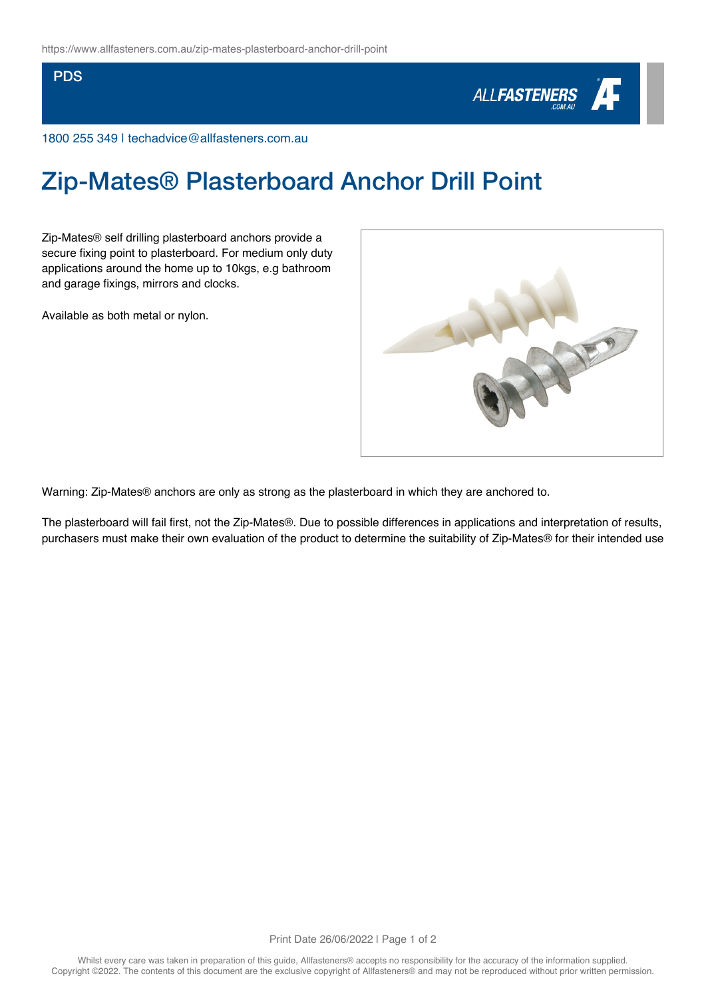## PDS



1800 255 349 | techadvice@allfasteners.com.au

## Zip-Mates® Plasterboard Anchor Drill Point

Zip-Mates® self drilling plasterboard anchors provide a secure fixing point to plasterboard. For medium only duty applications around the home up to 10kgs, e.g bathroom and garage fixings, mirrors and clocks.

Available as both metal or nylon.



Warning: Zip-Mates® anchors are only as strong as the plasterboard in which they are anchored to.

The plasterboard will fail first, not the Zip-Mates®. Due to possible differences in applications and interpretation of results, purchasers must make their own evaluation of the product to determine the suitability of Zip-Mates® for their intended use